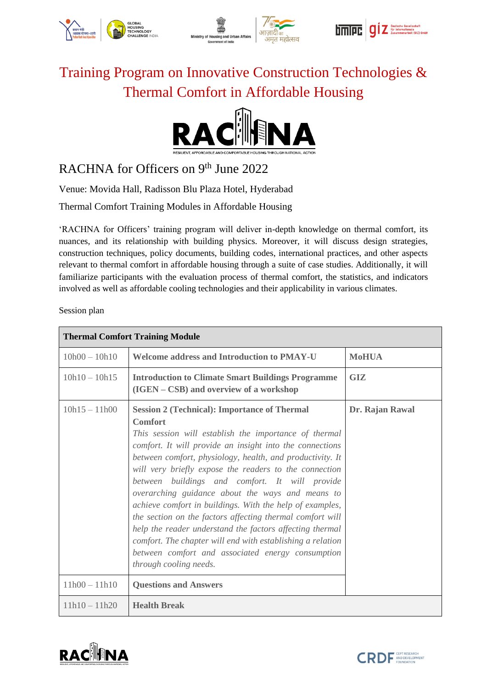





## Training Program on Innovative Construction Technologies & Thermal Comfort in Affordable Housing



## RACHNA for Officers on 9<sup>th</sup> June 2022

Venue: Movida Hall, Radisson Blu Plaza Hotel, Hyderabad

Thermal Comfort Training Modules in Affordable Housing

'RACHNA for Officers' training program will deliver in-depth knowledge on thermal comfort, its nuances, and its relationship with building physics. Moreover, it will discuss design strategies, construction techniques, policy documents, building codes, international practices, and other aspects relevant to thermal comfort in affordable housing through a suite of case studies. Additionally, it will familiarize participants with the evaluation process of thermal comfort, the statistics, and indicators involved as well as affordable cooling technologies and their applicability in various climates.

Session plan

| <b>Thermal Comfort Training Module</b> |                                                                                                                                                                                                                                                                                                                                                                                                                                                                                                                                                                                                                                                                                                                                                           |                 |  |
|----------------------------------------|-----------------------------------------------------------------------------------------------------------------------------------------------------------------------------------------------------------------------------------------------------------------------------------------------------------------------------------------------------------------------------------------------------------------------------------------------------------------------------------------------------------------------------------------------------------------------------------------------------------------------------------------------------------------------------------------------------------------------------------------------------------|-----------------|--|
| $10h00 - 10h10$                        | <b>Welcome address and Introduction to PMAY-U</b>                                                                                                                                                                                                                                                                                                                                                                                                                                                                                                                                                                                                                                                                                                         | <b>MoHUA</b>    |  |
| $10h10 - 10h15$                        | <b>Introduction to Climate Smart Buildings Programme</b><br>(IGEN – CSB) and overview of a workshop                                                                                                                                                                                                                                                                                                                                                                                                                                                                                                                                                                                                                                                       | <b>GIZ</b>      |  |
| $10h15 - 11h00$                        | <b>Session 2 (Technical): Importance of Thermal</b><br><b>Comfort</b><br>This session will establish the importance of thermal<br>comfort. It will provide an insight into the connections<br>between comfort, physiology, health, and productivity. It<br>will very briefly expose the readers to the connection<br>between buildings and comfort. It will provide<br>overarching guidance about the ways and means to<br>achieve comfort in buildings. With the help of examples,<br>the section on the factors affecting thermal comfort will<br>help the reader understand the factors affecting thermal<br>comfort. The chapter will end with establishing a relation<br>between comfort and associated energy consumption<br>through cooling needs. | Dr. Rajan Rawal |  |
| $11h00 - 11h10$                        | <b>Questions and Answers</b>                                                                                                                                                                                                                                                                                                                                                                                                                                                                                                                                                                                                                                                                                                                              |                 |  |
| $11h10 - 11h20$                        | <b>Health Break</b>                                                                                                                                                                                                                                                                                                                                                                                                                                                                                                                                                                                                                                                                                                                                       |                 |  |



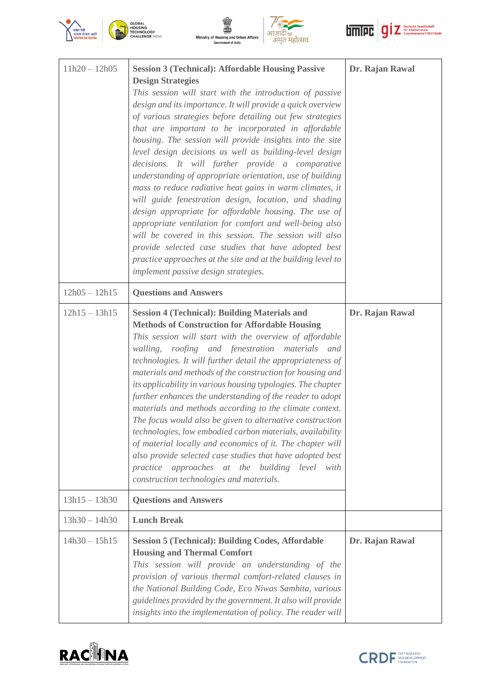







| $11h20 - 12h05$ | <b>Session 3 (Technical): Affordable Housing Passive</b><br><b>Design Strategies</b><br>This session will start with the introduction of passive<br>design and its importance. It will provide a quick overview<br>of various strategies before detailing out few strategies<br>that are important to be incorporated in affordable<br>housing. The session will provide insights into the site<br>level design decisions as well as building-level design<br>decisions. It will further provide a comparative<br>understanding of appropriate orientation, use of building<br>mass to reduce radiative heat gains in warm climates, it<br>will guide fenestration design, location, and shading<br>design appropriate for affordable housing. The use of<br>appropriate ventilation for comfort and well-being also<br>will be covered in this session. The session will also<br>provide selected case studies that have adopted best<br>practice approaches at the site and at the building level to<br>implement passive design strategies. | Dr. Rajan Rawal |
|-----------------|------------------------------------------------------------------------------------------------------------------------------------------------------------------------------------------------------------------------------------------------------------------------------------------------------------------------------------------------------------------------------------------------------------------------------------------------------------------------------------------------------------------------------------------------------------------------------------------------------------------------------------------------------------------------------------------------------------------------------------------------------------------------------------------------------------------------------------------------------------------------------------------------------------------------------------------------------------------------------------------------------------------------------------------------|-----------------|
| $12h05 - 12h15$ | <b>Questions and Answers</b>                                                                                                                                                                                                                                                                                                                                                                                                                                                                                                                                                                                                                                                                                                                                                                                                                                                                                                                                                                                                                   |                 |
| $12h15 - 13h15$ | <b>Session 4 (Technical): Building Materials and</b><br><b>Methods of Construction for Affordable Housing</b><br>This session will start with the overview of affordable<br>roofing and fenestration materials and<br>walling,<br>technologies. It will further detail the appropriateness of<br>materials and methods of the construction for housing and<br>its applicability in various housing typologies. The chapter<br>further enhances the understanding of the reader to adopt<br>materials and methods according to the climate context.<br>The focus would also be given to alternative construction<br>technologies, low embodied carbon materials, availability<br>of material locally and economics of it. The chapter will<br>also provide selected case studies that have adopted best<br>approaches at the building level with<br>practice<br>construction technologies and materials.                                                                                                                                        | Dr. Rajan Rawal |
| $13h15 - 13h30$ | <b>Questions and Answers</b>                                                                                                                                                                                                                                                                                                                                                                                                                                                                                                                                                                                                                                                                                                                                                                                                                                                                                                                                                                                                                   |                 |
| $13h30 - 14h30$ | <b>Lunch Break</b>                                                                                                                                                                                                                                                                                                                                                                                                                                                                                                                                                                                                                                                                                                                                                                                                                                                                                                                                                                                                                             |                 |
| $14h30 - 15h15$ | <b>Session 5 (Technical): Building Codes, Affordable</b><br><b>Housing and Thermal Comfort</b><br>This session will provide an understanding of the<br>provision of various thermal comfort-related clauses in<br>the National Building Code, Eco Niwas Samhita, various<br>guidelines provided by the government. It also will provide<br>insights into the implementation of policy. The reader will                                                                                                                                                                                                                                                                                                                                                                                                                                                                                                                                                                                                                                         | Dr. Rajan Rawal |